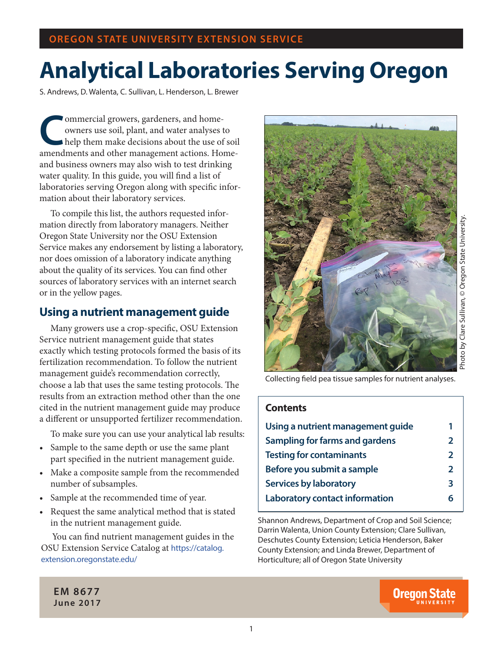# **Analytical Laboratories Serving Oregon**

S. Andrews, D. Walenta, C. Sullivan, L. Henderson, L. Brewer

**Commercial growers, gardeners, and home-<br>
owners use soil, plant, and water analyses the<br>
help them make decisions about the use of<br>
amandmants and other management actions. Ho** owners use soil, plant, and water analyses to help them make decisions about the use of soil amendments and other management actions. Homeand business owners may also wish to test drinking water quality. In this guide, you will find a list of laboratories serving Oregon along with specific information about their laboratory services.

To compile this list, the authors requested information directly from laboratory managers. Neither Oregon State University nor the OSU Extension Service makes any endorsement by listing a laboratory, nor does omission of a laboratory indicate anything about the quality of its services. You can find other sources of laboratory services with an internet search or in the yellow pages.

#### **Using a nutrient management guide**

Many growers use a crop-specific, OSU Extension Service nutrient management guide that states exactly which testing protocols formed the basis of its fertilization recommendation. To follow the nutrient management guide's recommendation correctly, choose a lab that uses the same testing protocols. The results from an extraction method other than the one cited in the nutrient management guide may produce a different or unsupported fertilizer recommendation.

To make sure you can use your analytical lab results:

- Sample to the same depth or use the same plant part specified in the nutrient management guide.
- Make a composite sample from the recommended number of subsamples.
- Sample at the recommended time of year.
- Request the same analytical method that is stated in the nutrient management guide.

You can find nutrient management guides in the OSU Extension Service Catalog at https://catalog. extension.oregonstate.edu/



Collecting field pea tissue samples for nutrient analyses.

#### **Contents**

| $\mathbf{z}$   |
|----------------|
| $\overline{2}$ |
| $\mathbf{z}$   |
| 3              |
|                |
|                |

Shannon Andrews, Department of Crop and Soil Science; Darrin Walenta, Union County Extension; Clare Sullivan, Deschutes County Extension; Leticia Henderson, Baker County Extension; and Linda Brewer, Department of Horticulture; all of Oregon State University

#### **EM 8677 June 2017**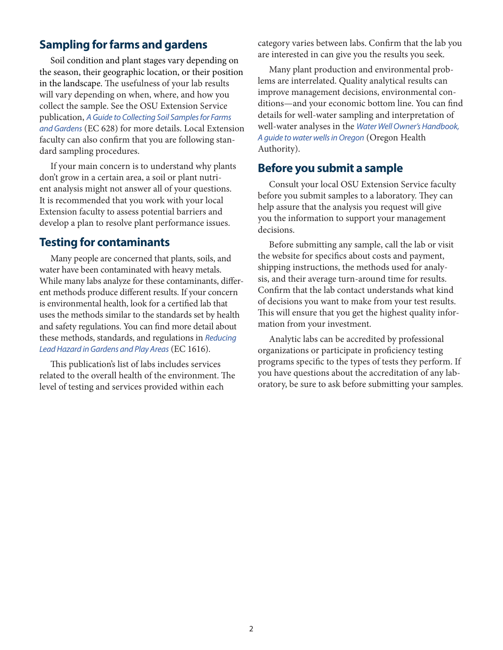#### **Sampling for farms and gardens**

Soil condition and plant stages vary depending on the season, their geographic location, or their position in the landscape. The usefulness of your lab results will vary depending on when, where, and how you collect the sample. See the OSU Extension Service publication, *A Guide to Collecting Soil Samples for Farms and Gardens* (EC 628) for more details. Local Extension faculty can also confirm that you are following standard sampling procedures.

If your main concern is to understand why plants don't grow in a certain area, a soil or plant nutrient analysis might not answer all of your questions. It is recommended that you work with your local Extension faculty to assess potential barriers and develop a plan to resolve plant performance issues.

#### **Testing for contaminants**

Many people are concerned that plants, soils, and water have been contaminated with heavy metals. While many labs analyze for these contaminants, different methods produce different results. If your concern is environmental health, look for a certified lab that uses the methods similar to the standards set by health and safety regulations. You can find more detail about these methods, standards, and regulations in *Reducing Lead Hazard in Gardens and Play Areas* (EC 1616).

This publication's list of labs includes services related to the overall health of the environment. The level of testing and services provided within each

category varies between labs. Confirm that the lab you are interested in can give you the results you seek.

Many plant production and environmental problems are interrelated. Quality analytical results can improve management decisions, environmental conditions—and your economic bottom line. You can find details for well-water sampling and interpretation of well-water analyses in the *Water Well Owner's Handbook, A guide to water wells in Oregon* (Oregon Health Authority).

#### **Before you submit a sample**

Consult your local OSU Extension Service faculty before you submit samples to a laboratory. They can help assure that the analysis you request will give you the information to support your management decisions.

Before submitting any sample, call the lab or visit the website for specifics about costs and payment, shipping instructions, the methods used for analysis, and their average turn-around time for results. Confirm that the lab contact understands what kind of decisions you want to make from your test results. This will ensure that you get the highest quality information from your investment.

Analytic labs can be accredited by professional organizations or participate in proficiency testing programs specific to the types of tests they perform. If you have questions about the accreditation of any laboratory, be sure to ask before submitting your samples.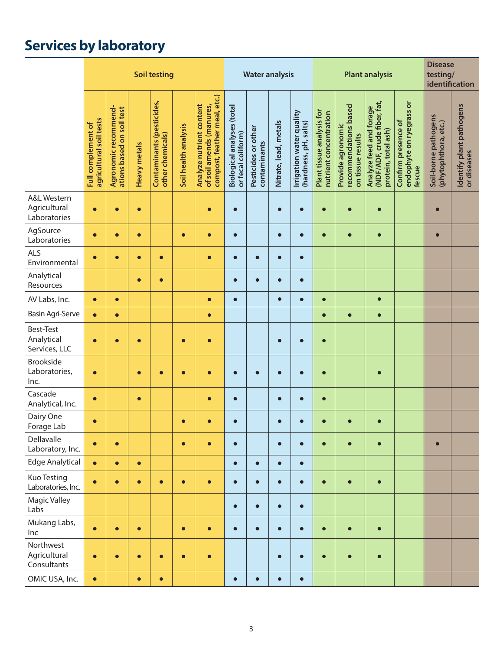## **Services by laboratory**

|                                                        |                                               |                                                   |              | <b>Soil testing</b>                           |                      |                                                                                      |                                                  | <b>Water analysis</b>               |                       |                                                   |                                                     | <b>Plant analysis</b>                                           | <b>Disease</b><br>testing/<br>identification                                  |                                                           |                                              |                                         |
|--------------------------------------------------------|-----------------------------------------------|---------------------------------------------------|--------------|-----------------------------------------------|----------------------|--------------------------------------------------------------------------------------|--------------------------------------------------|-------------------------------------|-----------------------|---------------------------------------------------|-----------------------------------------------------|-----------------------------------------------------------------|-------------------------------------------------------------------------------|-----------------------------------------------------------|----------------------------------------------|-----------------------------------------|
|                                                        | agricultural soil tests<br>Full complement of | Agronomic recommend-<br>ations based on soil test | Heavy metals | Contaminants (pesticides,<br>other chemicals) | Soil health analysis | compost, feather meal, etc.)<br>Analyze nutrient content<br>of soil amends (manures, | Biological analyses (total<br>or fecal coliform) | Pesticides or other<br>contaminants | Nitrate, lead, metals | Irrigation water quality<br>(hardness, pH, salts) | Plant tissue analysis for<br>nutrient concentration | recommendations based<br>Provide agronomic<br>on tissue results | (NDF/ADF, crude fiber, fat,<br>Analyze feed and forage<br>protein, total ash) | endophyte on ryegrass or<br>Confirm presence of<br>fescue | Soil-borne pathogens<br>(phytophthora, etc.) | Identify plant pathogens<br>or diseases |
| <b>A&amp;L Western</b><br>Agricultural<br>Laboratories | $\bullet$                                     | $\bullet$                                         | $\bullet$    |                                               |                      | $\bullet$                                                                            | $\bullet$                                        |                                     | $\bullet$             | г                                                 | $\bullet$                                           | Ò                                                               | $\bullet$                                                                     |                                                           | $\bullet$                                    |                                         |
| AgSource<br>Laboratories                               | $\bullet$                                     | $\bullet$                                         | $\bullet$    |                                               | $\bullet$            | $\bullet$                                                                            | $\bullet$                                        |                                     | $\bullet$             | $\bullet$                                         | $\bullet$                                           | $\bullet$                                                       | $\bullet$                                                                     |                                                           | $\bullet$                                    |                                         |
| <b>ALS</b><br>Environmental                            | $\bullet$                                     | $\bullet$                                         | $\bullet$    | $\bullet$                                     |                      | $\bullet$                                                                            | $\bullet$                                        | $\bullet$                           | $\bullet$             | $\bullet$                                         |                                                     |                                                                 |                                                                               |                                                           |                                              |                                         |
| Analytical<br>Resources                                |                                               |                                                   | $\bullet$    | $\bullet$                                     |                      |                                                                                      | $\bullet$                                        | $\bullet$                           | $\bullet$             | $\bullet$                                         |                                                     |                                                                 |                                                                               |                                                           |                                              |                                         |
| AV Labs, Inc.                                          | $\bullet$                                     | $\bullet$                                         |              |                                               |                      | $\bullet$                                                                            | $\bullet$                                        |                                     | $\bullet$             | $\bullet$                                         | $\bullet$                                           |                                                                 | $\bullet$                                                                     |                                                           |                                              |                                         |
| Basin Agri-Serve                                       | $\bullet$                                     | $\bullet$                                         |              |                                               |                      | $\bullet$                                                                            |                                                  |                                     |                       |                                                   | $\bullet$                                           | $\bullet$                                                       | $\bullet$                                                                     |                                                           |                                              |                                         |
| Best-Test<br>Analytical<br>Services, LLC               | $\bullet$                                     | $\bullet$                                         | $\bullet$    |                                               | $\bullet$            | $\bullet$                                                                            |                                                  |                                     | $\bullet$             | $\bullet$                                         | $\bullet$                                           |                                                                 |                                                                               |                                                           |                                              |                                         |
| <b>Brookside</b><br>Laboratories,<br>Inc.              | $\bullet$                                     |                                                   | $\bullet$    | $\bullet$                                     | $\bullet$            | $\bullet$                                                                            | $\bullet$                                        | О                                   |                       | г                                                 | $\bullet$                                           |                                                                 | $\bullet$                                                                     |                                                           |                                              |                                         |
| Cascade<br>Analytical, Inc.                            | $\bullet$                                     |                                                   | $\bullet$    |                                               |                      | $\bullet$                                                                            | $\bullet$                                        |                                     | $\bullet$             | $\bullet$                                         | $\bullet$                                           |                                                                 |                                                                               |                                                           |                                              |                                         |
| Dairy One<br>Forage Lab                                | $\bullet$                                     |                                                   |              |                                               | $\bullet$            | $\bullet$                                                                            | $\bullet$                                        |                                     | $\bullet$             | $\bullet$                                         | $\bullet$                                           | $\bullet$                                                       | $\bullet$                                                                     |                                                           |                                              |                                         |
| Dellavalle<br>Laboratory, Inc.                         | $\bullet$                                     | $\bullet$                                         |              |                                               | $\bullet$            | $\bullet$                                                                            | $\bullet$                                        |                                     | $\bullet$             | $\bullet$                                         | $\bullet$                                           | $\bullet$                                                       | $\bullet$                                                                     |                                                           | $\bullet$                                    |                                         |
| <b>Edge Analytical</b>                                 | $\bullet$                                     | $\bullet$                                         | $\bullet$    |                                               |                      |                                                                                      | $\bullet$                                        | $\bullet$                           | $\bullet$             | $\bullet$                                         |                                                     |                                                                 |                                                                               |                                                           |                                              |                                         |
| <b>Kuo Testing</b><br>Laboratories, Inc.               | $\bullet$                                     | $\bullet$                                         | $\bullet$    | $\bullet$                                     | $\bullet$            | $\bullet$                                                                            | $\bullet$                                        | $\bullet$                           | $\bullet$             | $\bullet$                                         | $\bullet$                                           | $\bullet$                                                       | $\bullet$                                                                     |                                                           |                                              |                                         |
| <b>Magic Valley</b><br>Labs                            |                                               |                                                   |              |                                               |                      |                                                                                      | $\bullet$                                        | $\bullet$                           | $\bullet$             | $\bullet$                                         |                                                     |                                                                 |                                                                               |                                                           |                                              |                                         |
| Mukang Labs,<br>Inc                                    | $\bullet$                                     | $\bullet$                                         | $\bullet$    |                                               | $\bullet$            | $\bullet$                                                                            | $\bullet$                                        | $\bullet$                           | $\bullet$             | $\bullet$                                         | $\bullet$                                           | $\bullet$                                                       | $\bullet$                                                                     |                                                           |                                              |                                         |
| Northwest<br>Agricultural<br>Consultants               | $\bullet$                                     | $\bullet$                                         | $\bullet$    | $\bullet$                                     | $\bullet$            | $\bullet$                                                                            |                                                  |                                     | $\bullet$             | $\bullet$                                         | $\bullet$                                           | $\bullet$                                                       | $\bullet$                                                                     |                                                           |                                              |                                         |
| OMIC USA, Inc.                                         | $\bullet$                                     |                                                   | $\bullet$    | $\bullet$                                     |                      |                                                                                      | $\bullet$                                        | $\bullet$                           | $\bullet$             | $\bullet$                                         |                                                     |                                                                 |                                                                               |                                                           |                                              |                                         |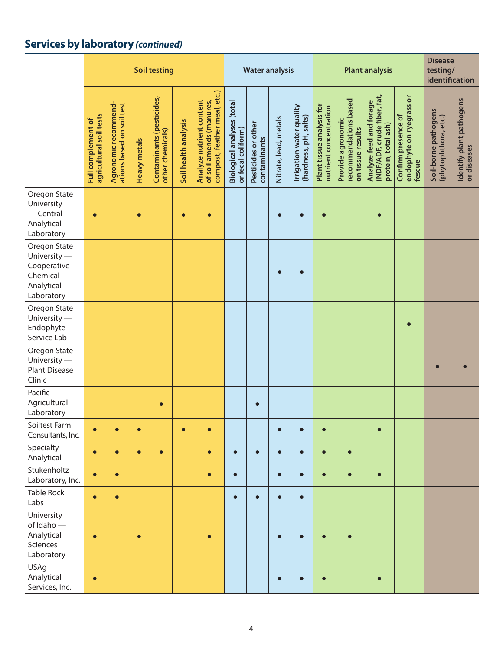## **Services by laboratory** *(continued)*

|                                                                                     |                                               |                                                   |                     | <b>Soil testing</b>                           |                      |                                                                                      |                                                         | <b>Water analysis</b>               |                       |                                                   |                                                     | <b>Plant analysis</b>                                           | <b>Disease</b><br>testing/<br>identification                                  |                                                           |                                              |                                         |
|-------------------------------------------------------------------------------------|-----------------------------------------------|---------------------------------------------------|---------------------|-----------------------------------------------|----------------------|--------------------------------------------------------------------------------------|---------------------------------------------------------|-------------------------------------|-----------------------|---------------------------------------------------|-----------------------------------------------------|-----------------------------------------------------------------|-------------------------------------------------------------------------------|-----------------------------------------------------------|----------------------------------------------|-----------------------------------------|
|                                                                                     | agricultural soil tests<br>Full complement of | Agronomic recommend-<br>ations based on soil test | <b>Heavy metals</b> | Contaminants (pesticides,<br>other chemicals) | Soil health analysis | compost, feather meal, etc.)<br>Analyze nutrient content<br>of soil amends (manures, | <b>Biological analyses (total</b><br>or fecal coliform) | Pesticides or other<br>contaminants | Nitrate, lead, metals | Irrigation water quality<br>(hardness, pH, salts) | Plant tissue analysis for<br>nutrient concentration | recommendations based<br>Provide agronomic<br>on tissue results | Analyze feed and forage<br>(NDF/ADF, crude fiber, fat,<br>protein, total ash) | endophyte on ryegrass or<br>Confirm presence of<br>fescue | Soil-borne pathogens<br>(phytophthora, etc.) | Identify plant pathogens<br>or diseases |
| Oregon State<br>University<br>$-$ Central<br>Analytical<br>Laboratory               | $\bullet$                                     |                                                   | $\bullet$           |                                               | $\bullet$            |                                                                                      |                                                         |                                     | $\bullet$             | г                                                 |                                                     |                                                                 |                                                                               |                                                           |                                              |                                         |
| Oregon State<br>University -<br>Cooperative<br>Chemical<br>Analytical<br>Laboratory |                                               |                                                   |                     |                                               |                      |                                                                                      |                                                         |                                     | $\bullet$             | C                                                 |                                                     |                                                                 |                                                                               |                                                           |                                              |                                         |
| Oregon State<br>University -<br>Endophyte<br>Service Lab                            |                                               |                                                   |                     |                                               |                      |                                                                                      |                                                         |                                     |                       |                                                   |                                                     |                                                                 |                                                                               |                                                           |                                              |                                         |
| Oregon State<br>University -<br><b>Plant Disease</b><br>Clinic                      |                                               |                                                   |                     |                                               |                      |                                                                                      |                                                         |                                     |                       |                                                   |                                                     |                                                                 |                                                                               |                                                           |                                              |                                         |
| Pacific<br>Agricultural<br>Laboratory                                               |                                               |                                                   |                     | $\bullet$                                     |                      |                                                                                      |                                                         | $\bullet$                           |                       |                                                   |                                                     |                                                                 |                                                                               |                                                           |                                              |                                         |
| Soiltest Farm<br>Consultants, Inc.                                                  | $\bullet$                                     | $\bullet$                                         | $\bullet$           |                                               | $\bullet$            | $\bullet$                                                                            |                                                         |                                     | $\bullet$             |                                                   | $\bullet$                                           |                                                                 | $\bullet$                                                                     |                                                           |                                              |                                         |
| Specialty<br>Analytical                                                             | $\bullet$                                     | $\bullet$                                         | $\bullet$           | $\bullet$                                     |                      | $\bullet$                                                                            | $\bullet$                                               | $\bullet$                           | $\bullet$             | $\bullet$                                         | $\bullet$                                           | $\bullet$                                                       |                                                                               |                                                           |                                              |                                         |
| Stukenholtz<br>Laboratory, Inc.                                                     | $\bullet$                                     | $\bullet$                                         |                     |                                               |                      | $\bullet$                                                                            | $\bullet$                                               |                                     | $\bullet$             | $\bullet$                                         | $\bullet$                                           | $\bullet$                                                       | $\bullet$                                                                     |                                                           |                                              |                                         |
| <b>Table Rock</b><br>Labs                                                           | $\bullet$                                     | $\bullet$                                         |                     |                                               |                      |                                                                                      | $\bullet$                                               | $\bullet$                           | $\bullet$             | $\bullet$                                         |                                                     |                                                                 |                                                                               |                                                           |                                              |                                         |
| University<br>of Idaho-<br>Analytical<br>Sciences<br>Laboratory                     | $\bullet$                                     |                                                   | $\bullet$           |                                               |                      |                                                                                      |                                                         |                                     |                       |                                                   |                                                     |                                                                 |                                                                               |                                                           |                                              |                                         |
| <b>USAg</b><br>Analytical<br>Services, Inc.                                         | $\bullet$                                     |                                                   |                     |                                               |                      |                                                                                      |                                                         |                                     |                       |                                                   |                                                     |                                                                 | $\bullet$                                                                     |                                                           |                                              |                                         |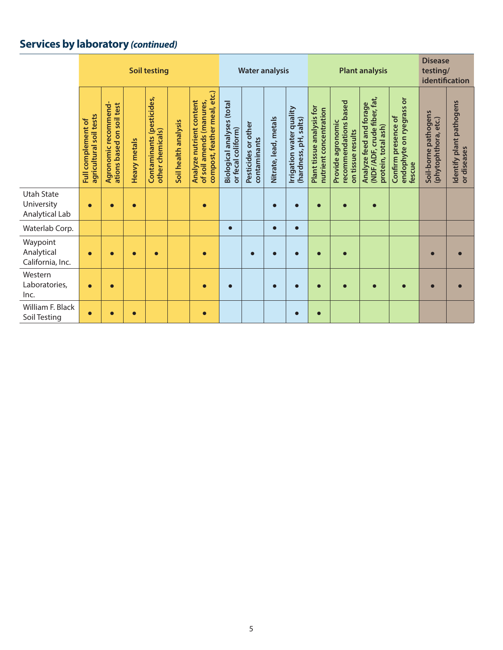## **Services by laboratory** *(continued)*

|                                                   | <b>Soil testing</b>                                     |                                                   |              |                                               |                      |                                                                                      |                                                         | <b>Water analysis</b>               |                       |                                                      |                                                     | <b>Plant analysis</b>                                           | <b>Disease</b><br>testing/<br>identification                                    |                                                                               |                                              |                                         |
|---------------------------------------------------|---------------------------------------------------------|---------------------------------------------------|--------------|-----------------------------------------------|----------------------|--------------------------------------------------------------------------------------|---------------------------------------------------------|-------------------------------------|-----------------------|------------------------------------------------------|-----------------------------------------------------|-----------------------------------------------------------------|---------------------------------------------------------------------------------|-------------------------------------------------------------------------------|----------------------------------------------|-----------------------------------------|
|                                                   | agricultural soil tests<br>complement of<br><b>Full</b> | Agronomic recommend-<br>ations based on soil test | Heavy metals | Contaminants (pesticides,<br>other chemicals) | Soil health analysis | compost, feather meal, etc.)<br>Analyze nutrient content<br>of soil amends (manures, | <b>Biological analyses (total</b><br>or fecal coliform) | Pesticides or other<br>contaminants | Nitrate, lead, metals | water quality<br>(hardness, pH, salts)<br>Irrigation | Plant tissue analysis for<br>nutrient concentration | recommendations based<br>Provide agronomic<br>on tissue results | Analyze feed and forage<br>(NDF/ADF, crude fiber, fat,<br>ash<br>protein, total | $\overline{\sigma}$<br>endophyte on ryegrass<br>Confirm presence of<br>fescue | Soil-borne pathogens<br>(phytophthora, etc.) | Identify plant pathogens<br>or diseases |
| <b>Utah State</b><br>University<br>Analytical Lab | $\bullet$                                               | $\bullet$                                         | $\bullet$    |                                               |                      | $\bullet$                                                                            |                                                         |                                     | $\bullet$             | г                                                    |                                                     | $\bullet$                                                       | $\bullet$                                                                       |                                                                               |                                              |                                         |
| Waterlab Corp.                                    |                                                         |                                                   |              |                                               |                      |                                                                                      | $\bullet$                                               |                                     | $\bullet$             | $\bullet$                                            |                                                     |                                                                 |                                                                                 |                                                                               |                                              |                                         |
| Waypoint<br>Analytical<br>California, Inc.        | $\bullet$                                               | $\bullet$                                         | $\bullet$    | $\bullet$                                     |                      | $\bullet$                                                                            |                                                         | $\bullet$                           |                       | $\bullet$                                            | $\bullet$                                           | $\bullet$                                                       |                                                                                 |                                                                               | $\bullet$                                    |                                         |
| Western<br>Laboratories,<br>Inc.                  | $\bullet$                                               | $\bullet$                                         |              |                                               |                      | $\bullet$                                                                            | $\bullet$                                               |                                     | $\bullet$             | $\bullet$                                            | $\bullet$                                           | $\bullet$                                                       | $\bullet$                                                                       | $\bullet$                                                                     | $\bullet$                                    |                                         |
| William F. Black<br>Soil Testing                  | $\bullet$                                               |                                                   | $\bullet$    |                                               |                      | $\bullet$                                                                            |                                                         |                                     |                       | $\bullet$                                            | $\bullet$                                           |                                                                 |                                                                                 |                                                                               |                                              |                                         |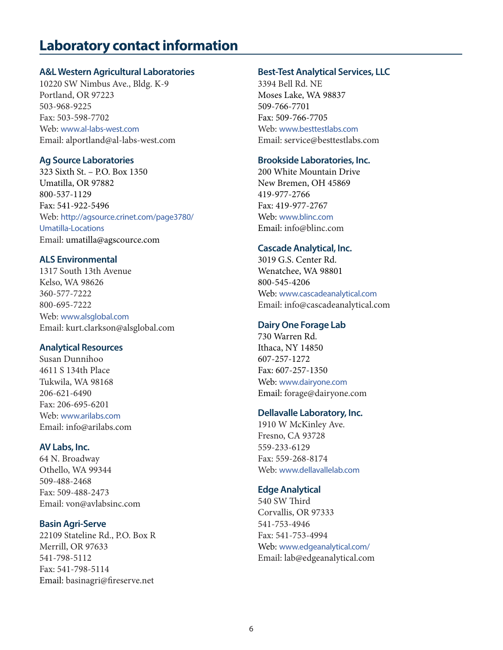## **Laboratory contact information**

#### **A&L Western Agricultural Laboratories**

10220 SW Nimbus Ave., Bldg. K-9 Portland, OR 97223 503-968-9225 Fax: 503-598-7702 Web: www.al-labs-west.com Email: alportland@al-labs-west.com

#### **Ag Source Laboratories**

323 Sixth St. – P.O. Box 1350 Umatilla, OR 97882 800-537-1129 Fax: 541-922-5496 Web: http://agsource.crinet.com/page3780/ Umatilla-Locations Email: umatilla@agscource.com

#### **ALS Environmental**

1317 South 13th Avenue Kelso, WA 98626 360-577-7222 800-695-7222 Web: www.alsglobal.com Email: kurt.clarkson@alsglobal.com

#### **Analytical Resources**

Susan Dunnihoo 4611 S 134th Place Tukwila, WA 98168 206-621-6490 Fax: 206-695-6201 Web: www.arilabs.com Email: info@arilabs.com

#### **AV Labs, Inc.**

64 N. Broadway Othello, WA 99344 509-488-2468 Fax: 509-488-2473 Email: von@avlabsinc.com

#### **Basin Agri-Serve**

22109 Stateline Rd., P.O. Box R Merrill, OR 97633 541-798-5112 Fax: 541-798-5114 Email: basinagri@fireserve.net

#### **Best-Test Analytical Services, LLC**

3394 Bell Rd. NE Moses Lake, WA 98837 509-766-7701 Fax: 509-766-7705 Web: www.besttestlabs.com Email: service@besttestlabs.com

#### **Brookside Laboratories, Inc.**

200 White Mountain Drive New Bremen, OH 45869 419-977-2766 Fax: 419-977-2767 Web: www.blinc.com Email: info@blinc.com

#### **Cascade Analytical, Inc.**

3019 G.S. Center Rd. Wenatchee, WA 98801 800-545-4206 Web: www.cascadeanalytical.com Email: info@cascadeanalytical.com

#### **Dairy One Forage Lab**

730 Warren Rd. Ithaca, NY 14850 607-257-1272 Fax: 607-257-1350 Web: www.dairyone.com Email: forage@dairyone.com

#### **Dellavalle Laboratory, Inc.**

1910 W McKinley Ave. Fresno, CA 93728 559-233-6129 Fax: 559-268-8174 Web: www.dellavallelab.com

#### **Edge Analytical**

540 SW Third Corvallis, OR 97333 541-753-4946 Fax: 541-753-4994 Web: www.edgeanalytical.com/ Email: lab@edgeanalytical.com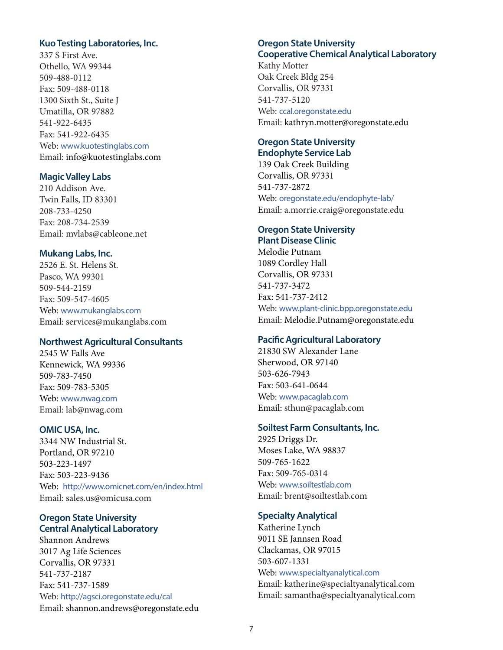#### **Kuo Testing Laboratories, Inc.**

337 S First Ave. Othello, WA 99344 509-488-0112 Fax: 509-488-0118 1300 Sixth St., Suite J Umatilla, OR 97882 541-922-6435 Fax: 541-922-6435 Web: www.kuotestinglabs.com Email: info@kuotestinglabs.com

#### **Magic Valley Labs**

210 Addison Ave. Twin Falls, ID 83301 208-733-4250 Fax: 208-734-2539 Email: mvlabs@cableone.net

#### **Mukang Labs, Inc.**

2526 E. St. Helens St. Pasco, WA 99301 509-544-2159 Fax: 509-547-4605 Web: www.mukanglabs.com Email: services@mukanglabs.com

#### **Northwest Agricultural Consultants**

2545 W Falls Ave Kennewick, WA 99336 509-783-7450 Fax: 509-783-5305 Web: www.nwag.com Email: lab@nwag.com

#### **OMIC USA, Inc.**

3344 NW Industrial St. Portland, OR 97210 503-223-1497 Fax: 503-223-9436 Web: http://www.omicnet.com/en/index.html Email: sales.us@omicusa.com

#### **Oregon State University Central Analytical Laboratory**

Shannon Andrews 3017 Ag Life Sciences Corvallis, OR 97331 541-737-2187 Fax: 541-737-1589 Web: http://agsci.oregonstate.edu/cal Email: shannon.andrews@oregonstate.edu

#### **Oregon State University Cooperative Chemical Analytical Laboratory**

Kathy Motter Oak Creek Bldg 254 Corvallis, OR 97331 541-737-5120 Web: ccal.oregonstate.edu Email: kathryn.motter@oregonstate.edu

#### **Oregon State University Endophyte Service Lab**

139 Oak Creek Building Corvallis, OR 97331 541-737-2872 Web: oregonstate.edu/endophyte-lab/ Email: a.morrie.craig@oregonstate.edu

#### **Oregon State University Plant Disease Clinic**

Melodie Putnam 1089 Cordley Hall Corvallis, OR 97331 541-737-3472 Fax: 541-737-2412 Web: www.plant-clinic.bpp.oregonstate.edu Email: Melodie.Putnam@oregonstate.edu

#### **Pacific Agricultural Laboratory**

21830 SW Alexander Lane Sherwood, OR 97140 503-626-7943 Fax: 503-641-0644 Web: www.pacaglab.com Email: sthun@pacaglab.com

#### **Soiltest Farm Consultants, Inc.**

2925 Driggs Dr. Moses Lake, WA 98837 509-765-1622 Fax: 509-765-0314 Web: www.soiltestlab.com Email: brent@soiltestlab.com

#### **Specialty Analytical**

Katherine Lynch 9011 SE Jannsen Road Clackamas, OR 97015 503-607-1331 Web: www.specialtyanalytical.com Email: katherine@specialtyanalytical.com Email: samantha@specialtyanalytical.com